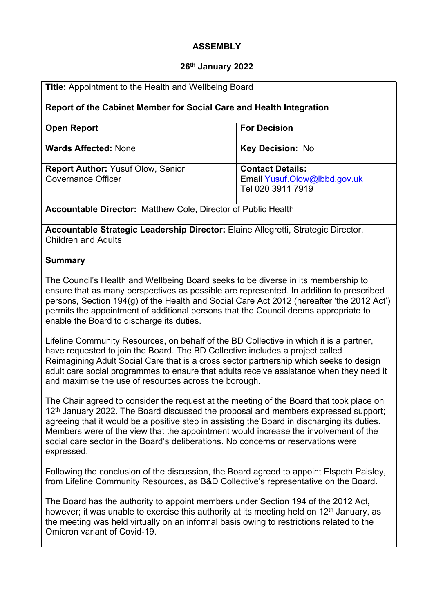## **ASSEMBLY**

#### **26th January 2022**

| <b>Title:</b> Appointment to the Health and Wellbeing Board<br>Report of the Cabinet Member for Social Care and Health Integration |                                                                              |
|------------------------------------------------------------------------------------------------------------------------------------|------------------------------------------------------------------------------|
|                                                                                                                                    |                                                                              |
| <b>Wards Affected: None</b>                                                                                                        | <b>Key Decision: No</b>                                                      |
| <b>Report Author: Yusuf Olow, Senior</b><br>Governance Officer                                                                     | <b>Contact Details:</b><br>Email Yusuf.Olow@lbbd.gov.uk<br>Tel 020 3911 7919 |
| <b>Accountable Director:</b> Matthew Cole, Director of Public Health                                                               |                                                                              |

**Accountable Strategic Leadership Director:** Elaine Allegretti, Strategic Director, Children and Adults

#### **Summary**

The Council's Health and Wellbeing Board seeks to be diverse in its membership to ensure that as many perspectives as possible are represented. In addition to prescribed persons, Section 194(g) of the Health and Social Care Act 2012 (hereafter 'the 2012 Act') permits the appointment of additional persons that the Council deems appropriate to enable the Board to discharge its duties.

Lifeline Community Resources, on behalf of the BD Collective in which it is a partner, have requested to join the Board. The BD Collective includes a project called Reimagining Adult Social Care that is a cross sector partnership which seeks to design adult care social programmes to ensure that adults receive assistance when they need it and maximise the use of resources across the borough.

The Chair agreed to consider the request at the meeting of the Board that took place on 12<sup>th</sup> January 2022. The Board discussed the proposal and members expressed support; agreeing that it would be a positive step in assisting the Board in discharging its duties. Members were of the view that the appointment would increase the involvement of the social care sector in the Board's deliberations. No concerns or reservations were expressed.

Following the conclusion of the discussion, the Board agreed to appoint Elspeth Paisley, from Lifeline Community Resources, as B&D Collective's representative on the Board.

The Board has the authority to appoint members under Section 194 of the 2012 Act, however; it was unable to exercise this authority at its meeting held on  $12<sup>th</sup>$  January, as the meeting was held virtually on an informal basis owing to restrictions related to the Omicron variant of Covid-19.